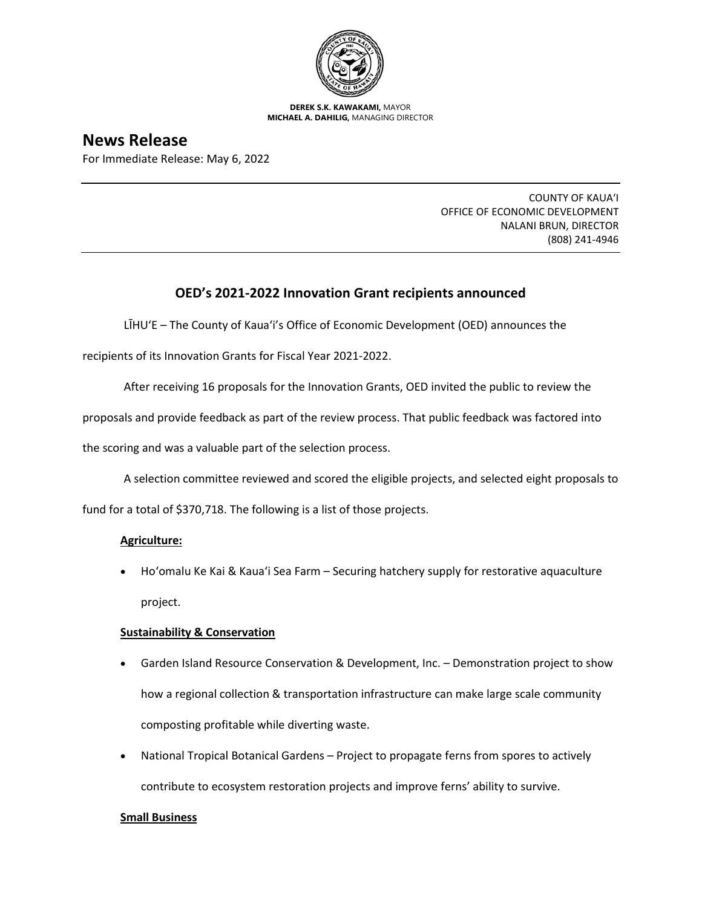

**DEREK S.K. KAWAKAMI,** MAYOR **MICHAEL A. DAHILIG,** MANAGING DIRECTOR

# **News Release**

For Immediate Release: May 6, 2022

COUNTY OF KAUA'I OFFICE OF ECONOMIC DEVELOPMENT NALANI BRUN, DIRECTOR (808) 241-4946

## **OED's 2021-2022 Innovation Grant recipients announced**

LĪHU'E – The County of Kaua'i's Office of Economic Development (OED) announces the

recipients of its Innovation Grants for Fiscal Year 2021-2022.

After receiving 16 proposals for the Innovation Grants, OED invited the public to review the

proposals and provide feedback as part of the review process. That public feedback was factored into

the scoring and was a valuable part of the selection process.

A selection committee reviewed and scored the eligible projects, and selected eight proposals to

fund for a total of \$370,718. The following is a list of those projects.

### **Agriculture:**

• Ho'omalu Ke Kai & Kaua'i Sea Farm – Securing hatchery supply for restorative aquaculture project.

### **Sustainability & Conservation**

- Garden Island Resource Conservation & Development, Inc. Demonstration project to show how a regional collection & transportation infrastructure can make large scale community composting profitable while diverting waste.
- National Tropical Botanical Gardens Project to propagate ferns from spores to actively contribute to ecosystem restoration projects and improve ferns' ability to survive.

### **Small Business**